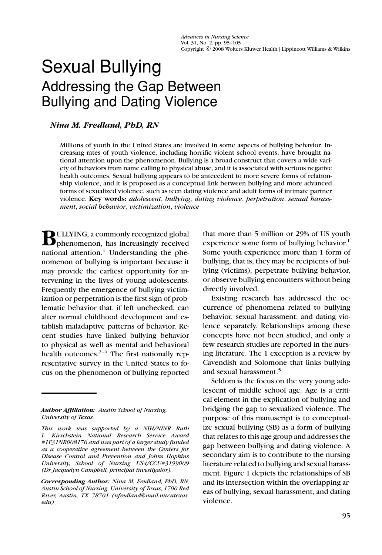# Sexual Bullying Addressing the Gap Between Bullying and Dating Violence

# *Nina M. Fredland, PhD, RN*

Millions of youth in the United States are involved in some aspects of bullying behavior. Increasing rates of youth violence, including horrific violent school events, have brought national attention upon the phenomenon. Bullying is a broad construct that covers a wide variety of behaviors from name calling to physical abuse, and it is associated with serious negative health outcomes. Sexual bullying appears to be antecedent to more severe forms of relationship violence, and it is proposed as a conceptual link between bullying and more advanced forms of sexualized violence, such as teen dating violence and adult forms of intimate partner violence. **Key words:** *adolescent*, *bullying*, *dating violence*, *perpetration*, *sexual harassment*, *social behavior*, *victimization*, *violence*

**B**ULLYING, a commonly recognized global<br>phenomenon, has increasingly received national attention.<sup>1</sup> Understanding the phenomenon of bullying is important because it may provide the earliest opportunity for intervening in the lives of young adolescents. Frequently the emergence of bullying victimization or perpetration is the first sign of problematic behavior that, if left unchecked, can alter normal childhood development and establish maladaptive patterns of behavior. Recent studies have linked bullying behavior to physical as well as mental and behavioral health outcomes. $2-4$  The first nationally representative survey in the United States to focus on the phenomenon of bullying reported

*Author Affiliation: Austin School of Nursing, University of Texas.*

that more than 5 million or 29% of US youth experience some form of bullying behavior.<sup>1</sup> Some youth experience more than 1 form of bullying, that is, they may be recipients of bullying (victims), perpetrate bullying behavior, or observe bullying encounters without being directly involved.

Existing research has addressed the occurrence of phenomena related to bullying behavior, sexual harassment, and dating violence separately. Relationships among these concepts have not been studied, and only a few research studies are reported in the nursing literature. The 1 exception is a review by Cavendish and Solomone that links bullying and sexual harassment.<sup>5</sup>

Seldom is the focus on the very young adolescent of middle school age. Age is a critical element in the explication of bullying and bridging the gap to sexualized violence. The purpose of this manuscript is to conceptualize sexual bullying (SB) as a form of bullying that relates to this age group and addresses the gap between bullying and dating violence. A secondary aim is to contribute to the nursing literature related to bullying and sexual harassment. Figure 1 depicts the relationships of SB and its intersection within the overlapping areas of bullying, sexual harassment, and dating violence.

*This work was supported by a NIH/NINR Ruth L. Kirschstein National Research Service Award #1F31NR008176 and was part of a larger study funded as a cooperative agreement between the Centers for Disease Control and Prevention and Johns Hopkins University, School of Nursing US4/CCU#3199009 (Dr Jacquelyn Campbell, principal investigator).*

*Corresponding Author: Nina M. Fredland, PhD, RN, Austin School of Nursing, University of Texas, 1700 Red River, Austin, TX 78701 (nfredland@mail.nur.utexas. edu)*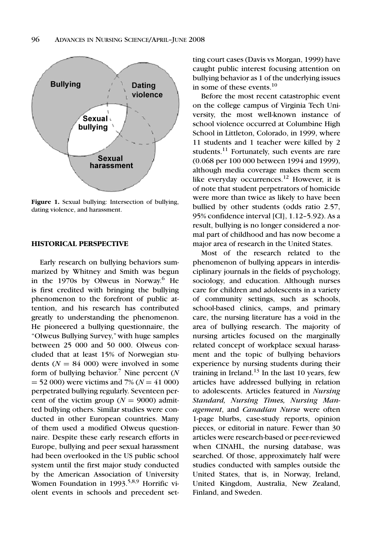

**Figure 1.** Sexual bullying: Intersection of bullying, dating violence, and harassment.

#### **HISTORICAL PERSPECTIVE**

Early research on bullying behaviors summarized by Whitney and Smith was begun in the 1970s by Olweus in Norway.<sup>6</sup> He is first credited with bringing the bullying phenomenon to the forefront of public attention, and his research has contributed greatly to understanding the phenomenon. He pioneered a bullying questionnaire, the "Olweus Bullying Survey,"with huge samples between 25 000 and 50 000. Olweus concluded that at least 15% of Norwegian students  $(N = 84,000)$  were involved in some form of bullying behavior.7 Nine percent (*N*  $= 52 000$ ) were victims and 7% ( $N = 41 000$ ) perpetrated bullying regularly. Seventeen percent of the victim group ( $N = 9000$ ) admitted bullying others. Similar studies were conducted in other European countries. Many of them used a modified Olweus questionnaire. Despite these early research efforts in Europe, bullying and peer sexual harassment had been overlooked in the US public school system until the first major study conducted by the American Association of University Women Foundation in 1993.<sup>5,8,9</sup> Horrific violent events in schools and precedent setting court cases (Davis vs Morgan, 1999) have caught public interest focusing attention on bullying behavior as 1 of the underlying issues in some of these events. $10$ 

Before the most recent catastrophic event on the college campus of Virginia Tech University, the most well-known instance of school violence occurred at Columbine High School in Littleton, Colorado, in 1999, where 11 students and 1 teacher were killed by 2 students.<sup>11</sup> Fortunately, such events are rare (0.068 per 100 000 between 1994 and 1999), although media coverage makes them seem like everyday occurrences.<sup>12</sup> However, it is of note that student perpetrators of homicide were more than twice as likely to have been bullied by other students (odds ratio 2.57, 95% confidence interval [CI], 1.12–5.92). As a result, bullying is no longer considered a normal part of childhood and has now become a major area of research in the United States.

Most of the research related to the phenomenon of bullying appears in interdisciplinary journals in the fields of psychology, sociology, and education. Although nurses care for children and adolescents in a variety of community settings, such as schools, school-based clinics, camps, and primary care, the nursing literature has a void in the area of bullying research. The majority of nursing articles focused on the marginally related concept of workplace sexual harassment and the topic of bullying behaviors experience by nursing students during their training in Ireland. $13$  In the last 10 years, few articles have addressed bullying in relation to adolescents. Articles featured in *Nursing Standard, Nursing Times, Nursing Management*, and *Canadian Nurse* were often 1-page blurbs, case-study reports, opinion pieces, or editorial in nature. Fewer than 30 articles were research-based or peer-reviewed when CINAHL, the nursing database, was searched. Of those, approximately half were studies conducted with samples outside the United States, that is, in Norway, Ireland, United Kingdom, Australia, New Zealand, Finland, and Sweden.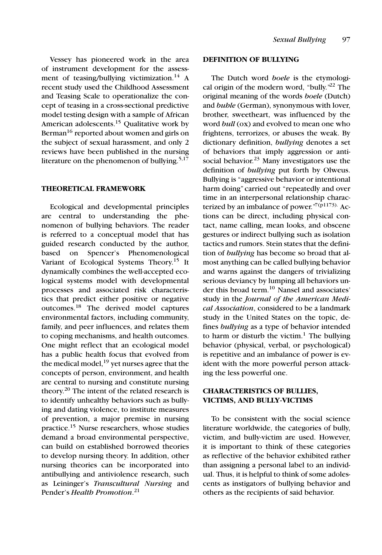Vessey has pioneered work in the area of instrument development for the assessment of teasing/bullying victimization.<sup>14</sup> A recent study used the Childhood Assessment and Teasing Scale to operationalize the concept of teasing in a cross-sectional predictive model testing design with a sample of African American adolescents.<sup>15</sup> Qualitative work by Berman<sup>16</sup> reported about women and girls on the subject of sexual harassment, and only 2 reviews have been published in the nursing literature on the phenomenon of bullying. $5,17$ 

#### **THEORETICAL FRAMEWORK**

Ecological and developmental principles are central to understanding the phenomenon of bullying behaviors. The reader is referred to a conceptual model that has guided research conducted by the author, based on Spencer's Phenomenological Variant of Ecological Systems Theory.<sup>15</sup> It dynamically combines the well-accepted ecological systems model with developmental processes and associated risk characteristics that predict either positive or negative outcomes.18 The derived model captures environmental factors, including community, family, and peer influences, and relates them to coping mechanisms, and health outcomes. One might reflect that an ecological model has a public health focus that evolved from the medical model, $^{19}$  yet nurses agree that the concepts of person, environment, and health are central to nursing and constitute nursing theory.20 The intent of the related research is to identify unhealthy behaviors such as bullying and dating violence, to institute measures of prevention, a major premise in nursing practice.15 Nurse researchers, whose studies demand a broad environmental perspective, can build on established borrowed theories to develop nursing theory. In addition, other nursing theories can be incorporated into antibullying and antiviolence research, such as Leininger's *Transcultural Nursing* and Pender's *Health Promotion*. 21

## **DEFINITION OF BULLYING**

The Dutch word *boele* is the etymological origin of the modern word, "bully."<sup>22</sup> The original meaning of the words *boele* (Dutch) and *buhle* (German), synonymous with lover, brother, sweetheart, was influenced by the word *bull* (ox) and evolved to mean one who frightens, terrorizes, or abuses the weak. By dictionary definition, *bullying* denotes a set of behaviors that imply aggression or antisocial behavior. $23$  Many investigators use the definition of *bullying* put forth by Olweus. Bullying is "aggressive behavior or intentional harm doing"carried out "repeatedly and over time in an interpersonal relationship characterized by an imbalance of power."<sup>7(p1173)</sup>. Actions can be direct, including physical contact, name calling, mean looks, and obscene gestures or indirect bullying such as isolation tactics and rumors. Stein states that the definition of *bullying* has become so broad that almost anything can be called bullying behavior and warns against the dangers of trivializing serious deviancy by lumping all behaviors under this broad term.10 Nansel and associates' study in the *Journal of the American Medical Association*, considered to be a landmark study in the United States on the topic, defines *bullying* as a type of behavior intended to harm or disturb the victim. $<sup>1</sup>$  The bullying</sup> behavior (physical, verbal, or psychological) is repetitive and an imbalance of power is evident with the more powerful person attacking the less powerful one.

## **CHARACTERISTICS OF BULLIES, VICTIMS, AND BULLY-VICTIMS**

To be consistent with the social science literature worldwide, the categories of bully, victim, and bully-victim are used. However, it is important to think of these categories as reflective of the behavior exhibited rather than assigning a personal label to an individual. Thus, it is helpful to think of some adolescents as instigators of bullying behavior and others as the recipients of said behavior.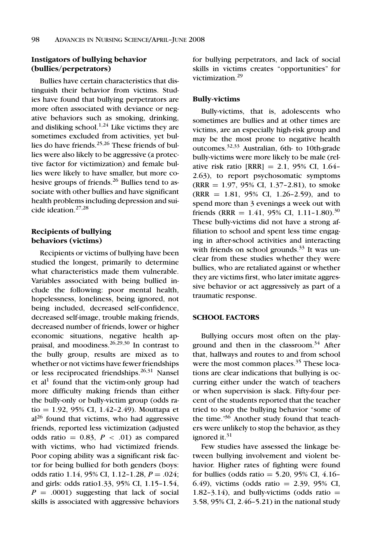## **Instigators of bullying behavior (bullies/perpetrators)**

Bullies have certain characteristics that distinguish their behavior from victims. Studies have found that bullying perpetrators are more often associated with deviance or negative behaviors such as smoking, drinking, and disliking school.<sup>1,24</sup> Like victims they are sometimes excluded from activities, yet bullies do have friends.<sup>25,26</sup> These friends of bullies were also likely to be aggressive (a protective factor for victimization) and female bullies were likely to have smaller, but more cohesive groups of friends.<sup>26</sup> Bullies tend to associate with other bullies and have significant health problems including depression and suicide ideation.27,28

## **Recipients of bullying behaviors (victims)**

Recipients or victims of bullying have been studied the longest, primarily to determine what characteristics made them vulnerable. Variables associated with being bullied include the following: poor mental health, hopelessness, loneliness, being ignored, not being included, decreased self-confidence, decreased self-image, trouble making friends, decreased number of friends, lower or higher economic situations, negative health appraisal, and moodiness.  $26,29,30$  In contrast to the bully group, results are mixed as to whether or not victims have fewer friendships or less reciprocated friendships. $26,31$  Nansel et al<sup>1</sup> found that the victim-only group had more difficulty making friends than either the bully-only or bully-victim group (odds ratio = 1.92, 95% CI, 1.42-2.49). Mouttapa et  $al^{26}$  found that victims, who had aggressive friends, reported less victimization (adjusted odds ratio =  $0.83$ ,  $P < .01$ ) as compared with victims, who had victimized friends. Poor coping ability was a significant risk factor for being bullied for both genders (boys: odds ratio 1.14, 95% CI, 1.12–1.28, *P* = .024; and girls: odds ratio1.33, 95% CI, 1.15–1.54,  $P = .0001$ ) suggesting that lack of social skills is associated with aggressive behaviors for bullying perpetrators, and lack of social skills in victims creates "opportunities" for victimization.29

## **Bully-victims**

Bully-victims, that is, adolescents who sometimes are bullies and at other times are victims, are an especially high-risk group and may be the most prone to negative health outcomes.32,33 Australian, 6th- to 10th-grade bully-victims were more likely to be male (relative risk ratio [RRR] = 2.1, 95% CI, 1.64-2.63), to report psychosomatic symptoms  $(RRR = 1.97, 95\% \text{ CI}, 1.37-2.81)$ , to smoke (RRR =  $1.81, 95\%$  CI,  $1.26-2.59$ ), and to spend more than 3 evenings a week out with friends (RRR = 1.41, 95% CI, 1.11-1.80).<sup>30</sup> These bully-victims did not have a strong affiliation to school and spent less time engaging in after-school activities and interacting with friends on school grounds. $33$  It was unclear from these studies whether they were bullies, who are retaliated against or whether they are victims first, who later imitate aggressive behavior or act aggressively as part of a traumatic response.

#### **SCHOOL FACTORS**

Bullying occurs most often on the playground and then in the classroom. $34$  After that, hallways and routes to and from school were the most common places.<sup>35</sup> These locations are clear indications that bullying is occurring either under the watch of teachers or when supervision is slack. Fifty-four percent of the students reported that the teacher tried to stop the bullying behavior "some of the time."36 Another study found that teachers were unlikely to stop the behavior, as they ignored it. $31$ 

Few studies have assessed the linkage between bullying involvement and violent behavior. Higher rates of fighting were found for bullies (odds ratio  $= 5.20, 95\%$  CI, 4.16– 6.49), victims (odds ratio = 2.39, 95% CI, 1.82-3.14), and bully-victims (odds ratio  $=$ 3.58, 95% CI, 2.46–5.21) in the national study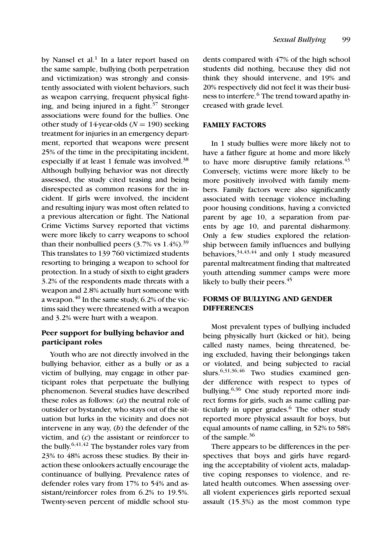by Nansel et al.<sup>1</sup> In a later report based on the same sample, bullying (both perpetration and victimization) was strongly and consistently associated with violent behaviors, such as weapon carrying, frequent physical fighting, and being injured in a fight. $37$  Stronger associations were found for the bullies. One other study of 14-year-olds  $(N = 190)$  seeking treatment for injuries in an emergency department, reported that weapons were present 25% of the time in the precipitating incident, especially if at least 1 female was involved.<sup>38</sup> Although bullying behavior was not directly assessed, the study cited teasing and being disrespected as common reasons for the incident. If girls were involved, the incident and resulting injury was most often related to a previous altercation or fight. The National Crime Victims Survey reported that victims were more likely to carry weapons to school than their nonbullied peers  $(3.7\% \text{ vs } 1.4\%)$ .<sup>39</sup> This translates to 139 760 victimized students resorting to bringing a weapon to school for protection. In a study of sixth to eight graders 3.2% of the respondents made threats with a weapon and 2.8% actually hurt someone with a weapon. $40$  In the same study, 6.2% of the victims said they were threatened with a weapon and 3.2% were hurt with a weapon.

## **Peer support for bullying behavior and participant roles**

Youth who are not directly involved in the bullying behavior, either as a bully or as a victim of bullying, may engage in other participant roles that perpetuate the bullying phenomenon. Several studies have described these roles as follows: (*a*) the neutral role of outsider or bystander, who stays out of the situation but lurks in the vicinity and does not intervene in any way, (*b*) the defender of the victim, and (*c*) the assistant or reinforcer to the bully.<sup>6,41,42</sup> The bystander roles vary from 23% to 48% across these studies. By their inaction these onlookers actually encourage the continuance of bullying. Prevalence rates of defender roles vary from 17% to 54% and assistant/reinforcer roles from 6.2% to 19.5%. Twenty-seven percent of middle school students compared with 47% of the high school students did nothing, because they did not think they should intervene, and 19% and 20% respectively did not feel it was their business to interfere.<sup>6</sup> The trend toward apathy increased with grade level.

### **FAMILY FACTORS**

In 1 study bullies were more likely not to have a father figure at home and more likely to have more disruptive family relations. $43$ Conversely, victims were more likely to be more positively involved with family members. Family factors were also significantly associated with teenage violence including poor housing conditions, having a convicted parent by age 10, a separation from parents by age 10, and parental disharmony. Only a few studies explored the relationship between family influences and bullying behaviors,34,43,44 and only 1 study measured parental maltreatment finding that maltreated youth attending summer camps were more likely to bully their peers. $45$ 

## **FORMS OF BULLYING AND GENDER DIFFERENCES**

Most prevalent types of bullying included being physically hurt (kicked or hit), being called nasty names, being threatened, being excluded, having their belongings taken or violated, and being subjected to racial slurs.6,31,36,46 Two studies examined gender difference with respect to types of bullying.6,36 One study reported more indirect forms for girls, such as name calling particularly in upper grades. $6$  The other study reported more physical assault for boys, but equal amounts of name calling, in 52% to 58% of the sample.<sup>36</sup>

There appears to be differences in the perspectives that boys and girls have regarding the acceptability of violent acts, maladaptive coping responses to violence, and related health outcomes. When assessing overall violent experiences girls reported sexual assault (15.3%) as the most common type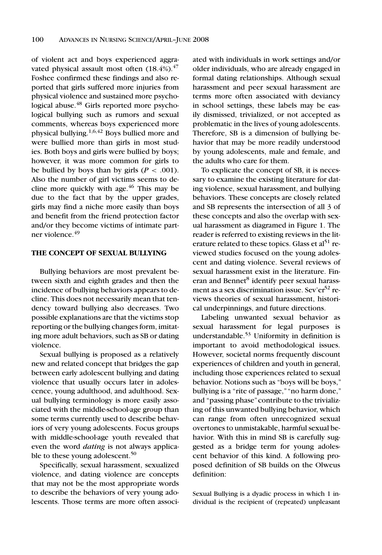of violent act and boys experienced aggravated physical assault most often  $(18.4\%)$ .<sup>47</sup> Foshee confirmed these findings and also reported that girls suffered more injuries from physical violence and sustained more psychological abuse.<sup>48</sup> Girls reported more psychological bullying such as rumors and sexual comments, whereas boys experienced more physical bullying.1,6,42 Boys bullied more and were bullied more than girls in most studies. Both boys and girls were bullied by boys; however, it was more common for girls to be bullied by boys than by girls  $(P < .001)$ . Also the number of girl victims seems to decline more quickly with age.<sup>46</sup> This may be due to the fact that by the upper grades, girls may find a niche more easily than boys and benefit from the friend protection factor and/or they become victims of intimate partner violence.49

## **THE CONCEPT OF SEXUAL BULLYING**

Bullying behaviors are most prevalent between sixth and eighth grades and then the incidence of bullying behaviors appears to decline. This does not necessarily mean that tendency toward bullying also decreases. Two possible explanations are that the victims stop reporting or the bullying changes form, imitating more adult behaviors, such as SB or dating violence.

Sexual bullying is proposed as a relatively new and related concept that bridges the gap between early adolescent bullying and dating violence that usually occurs later in adolescence, young adulthood, and adulthood. Sexual bullying terminology is more easily associated with the middle-school-age group than some terms currently used to describe behaviors of very young adolescents. Focus groups with middle-school-age youth revealed that even the word *dating* is not always applicable to these young adolescent.<sup>50</sup>

Specifically, sexual harassment, sexualized violence, and dating violence are concepts that may not be the most appropriate words to describe the behaviors of very young adolescents. Those terms are more often associated with individuals in work settings and/or older individuals, who are already engaged in formal dating relationships. Although sexual harassment and peer sexual harassment are terms more often associated with deviancy in school settings, these labels may be easily dismissed, trivialized, or not accepted as problematic in the lives of young adolescents. Therefore, SB is a dimension of bullying behavior that may be more readily understood by young adolescents, male and female, and the adults who care for them.

To explicate the concept of SB, it is necessary to examine the existing literature for dating violence, sexual harassment, and bullying behaviors. These concepts are closely related and SB represents the intersection of all 3 of these concepts and also the overlap with sexual harassment as diagramed in Figure 1. The reader is referred to existing reviews in the literature related to these topics. Glass et al<sup>51</sup> reviewed studies focused on the young adolescent and dating violence. Several reviews of sexual harassment exist in the literature. Fineran and Bennet<sup>8</sup> identify peer sexual harassment as a sex discrimination issue. Sev'er $52$  reviews theories of sexual harassment, historical underpinnings, and future directions.

Labeling unwanted sexual behavior as sexual harassment for legal purposes is understandable.53 Uniformity in definition is important to avoid methodological issues. However, societal norms frequently discount experiences of children and youth in general, including those experiences related to sexual behavior. Notions such as "boys will be boys," bullying is a "rite of passage,""no harm done," and "passing phase"contribute to the trivializing of this unwanted bullying behavior, which can range from often unrecognized sexual overtones to unmistakable, harmful sexual behavior. With this in mind SB is carefully suggested as a bridge term for young adolescent behavior of this kind. A following proposed definition of SB builds on the Olweus definition:

Sexual Bullying is a dyadic process in which 1 individual is the recipient of (repeated) unpleasant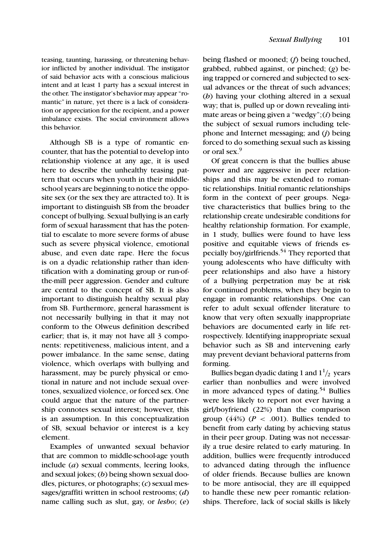teasing, taunting, harassing, or threatening behavior inflicted by another individual. The instigator of said behavior acts with a conscious malicious intent and at least 1 party has a sexual interest in the other. The instigator's behavior may appear "romantic" in nature, yet there is a lack of consideration or appreciation for the recipient, and a power imbalance exists. The social environment allows this behavior.

Although SB is a type of romantic encounter, that has the potential to develop into relationship violence at any age, it is used here to describe the unhealthy teasing pattern that occurs when youth in their middleschool years are beginning to notice the opposite sex (or the sex they are attracted to). It is important to distinguish SB from the broader concept of bullying. Sexual bullying is an early form of sexual harassment that has the potential to escalate to more severe forms of abuse such as severe physical violence, emotional abuse, and even date rape. Here the focus is on a dyadic relationship rather than identification with a dominating group or run-ofthe-mill peer aggression. Gender and culture are central to the concept of SB. It is also important to distinguish healthy sexual play from SB. Furthermore, general harassment is not necessarily bullying in that it may not conform to the Olweus definition described earlier; that is, it may not have all 3 components: repetitiveness, malicious intent, and a power imbalance. In the same sense, dating violence, which overlaps with bullying and harassment, may be purely physical or emotional in nature and not include sexual overtones, sexualized violence, or forced sex. One could argue that the nature of the partnership connotes sexual interest; however, this is an assumption. In this conceptualization of SB, sexual behavior or interest is a key element.

Examples of unwanted sexual behavior that are common to middle-school-age youth include (*a*) sexual comments, leering looks, and sexual jokes; (*b*) being shown sexual doodles, pictures, or photographs; (*c*) sexual messages/graffiti written in school restrooms; (*d*) name calling such as slut, gay, or *lesbo*; (*e*) being flashed or mooned; (*f*) being touched, grabbed, rubbed against, or pinched; (*g*) being trapped or cornered and subjected to sexual advances or the threat of such advances; (*h*) having your clothing altered in a sexual way; that is, pulled up or down revealing intimate areas or being given a "wedgy";(*i*) being the subject of sexual rumors including telephone and Internet messaging; and (*j*) being forced to do something sexual such as kissing or oral sex.9

Of great concern is that the bullies abuse power and are aggressive in peer relationships and this may be extended to romantic relationships. Initial romantic relationships form in the context of peer groups. Negative characteristics that bullies bring to the relationship create undesirable conditions for healthy relationship formation. For example, in 1 study, bullies were found to have less positive and equitable views of friends especially boy/girlfriends.<sup>54</sup> They reported that young adolescents who have difficulty with peer relationships and also have a history of a bullying perpetration may be at risk for continued problems, when they begin to engage in romantic relationships. One can refer to adult sexual offender literature to know that very often sexually inappropriate behaviors are documented early in life retrospectively. Identifying inappropriate sexual behavior such as SB and intervening early may prevent deviant behavioral patterns from forming.

Bullies began dyadic dating 1 and  $1\frac{1}{2}$  years earlier than nonbullies and were involved in more advanced types of dating.<sup>54</sup> Bullies were less likely to report not ever having a girl/boyfriend (22%) than the comparison group (44%) ( $P < .001$ ). Bullies tended to benefit from early dating by achieving status in their peer group. Dating was not necessarily a true desire related to early maturing. In addition, bullies were frequently introduced to advanced dating through the influence of older friends. Because bullies are known to be more antisocial, they are ill equipped to handle these new peer romantic relationships. Therefore, lack of social skills is likely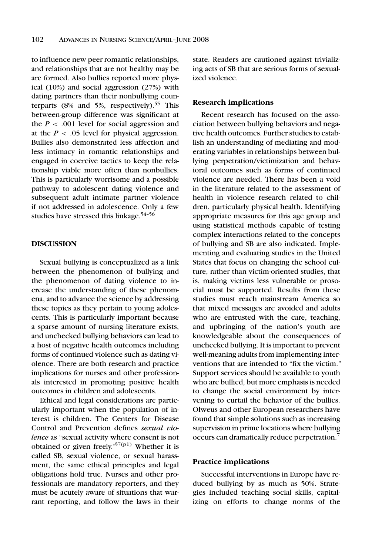to influence new peer romantic relationships, and relationships that are not healthy may be are formed. Also bullies reported more physical (10%) and social aggression (27%) with dating partners than their nonbullying counterparts  $(8\%$  and 5%, respectively).<sup>55</sup> This between-group difference was significant at the  $P < .001$  level for social aggression and at the  $P < .05$  level for physical aggression. Bullies also demonstrated less affection and less intimacy in romantic relationships and engaged in coercive tactics to keep the relationship viable more often than nonbullies. This is particularly worrisome and a possible pathway to adolescent dating violence and subsequent adult intimate partner violence if not addressed in adolescence. Only a few studies have stressed this linkage. $54-56$ 

## **DISCUSSION**

Sexual bullying is conceptualized as a link between the phenomenon of bullying and the phenomenon of dating violence to increase the understanding of these phenomena, and to advance the science by addressing these topics as they pertain to young adolescents. This is particularly important because a sparse amount of nursing literature exists, and unchecked bullying behaviors can lead to a host of negative health outcomes including forms of continued violence such as dating violence. There are both research and practice implications for nurses and other professionals interested in promoting positive health outcomes in children and adolescents.

Ethical and legal considerations are particularly important when the population of interest is children. The Centers for Disease Control and Prevention defines *sexual violence* as "sexual activity where consent is not obtained or given freely."<sup>57(p1)</sup> Whether it is called SB, sexual violence, or sexual harassment, the same ethical principles and legal obligations hold true. Nurses and other professionals are mandatory reporters, and they must be acutely aware of situations that warrant reporting, and follow the laws in their

state. Readers are cautioned against trivializing acts of SB that are serious forms of sexualized violence.

## **Research implications**

Recent research has focused on the association between bullying behaviors and negative health outcomes. Further studies to establish an understanding of mediating and moderating variables in relationships between bullying perpetration/victimization and behavioral outcomes such as forms of continued violence are needed. There has been a void in the literature related to the assessment of health in violence research related to children, particularly physical health. Identifying appropriate measures for this age group and using statistical methods capable of testing complex interactions related to the concepts of bullying and SB are also indicated. Implementing and evaluating studies in the United States that focus on changing the school culture, rather than victim-oriented studies, that is, making victims less vulnerable or prosocial must be supported. Results from these studies must reach mainstream America so that mixed messages are avoided and adults who are entrusted with the care, teaching, and upbringing of the nation's youth are knowledgeable about the consequences of unchecked bullying. It is important to prevent well-meaning adults from implementing interventions that are intended to "fix the victim." Support services should be available to youth who are bullied, but more emphasis is needed to change the social environment by intervening to curtail the behavior of the bullies. Olweus and other European researchers have found that simple solutions such as increasing supervision in prime locations where bullying occurs can dramatically reduce perpetration.7

#### **Practice implications**

Successful interventions in Europe have reduced bullying by as much as 50%. Strategies included teaching social skills, capitalizing on efforts to change norms of the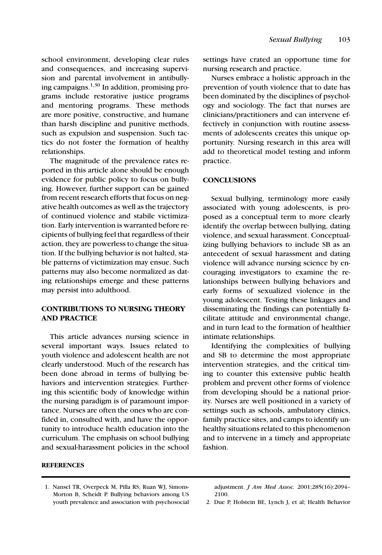school environment, developing clear rules and consequences, and increasing supervision and parental involvement in antibullying campaigns.<sup>1,30</sup> In addition, promising programs include restorative justice programs and mentoring programs. These methods are more positive, constructive, and humane than harsh discipline and punitive methods, such as expulsion and suspension. Such tactics do not foster the formation of healthy relationships.

The magnitude of the prevalence rates reported in this article alone should be enough evidence for public policy to focus on bullying. However, further support can be gained from recent research efforts that focus on negative health outcomes as well as the trajectory of continued violence and stabile victimization. Early intervention is warranted before recipients of bullying feel that regardless of their action, they are powerless to change the situation. If the bullying behavior is not halted, stable patterns of victimization may ensue. Such patterns may also become normalized as dating relationships emerge and these patterns may persist into adulthood.

## **CONTRIBUTIONS TO NURSING THEORY AND PRACTICE**

This article advances nursing science in several important ways. Issues related to youth violence and adolescent health are not clearly understood. Much of the research has been done abroad in terms of bullying behaviors and intervention strategies. Furthering this scientific body of knowledge within the nursing paradigm is of paramount importance. Nurses are often the ones who are confided in, consulted with, and have the opportunity to introduce health education into the curriculum. The emphasis on school bullying and sexual-harassment policies in the school settings have crated an opportune time for nursing research and practice.

Nurses embrace a holistic approach in the prevention of youth violence that to date has been dominated by the disciplines of psychology and sociology. The fact that nurses are clinicians/practitioners and can intervene effectively in conjunction with routine assessments of adolescents creates this unique opportunity. Nursing research in this area will add to theoretical model testing and inform practice.

## **CONCLUSIONS**

Sexual bullying, terminology more easily associated with young adolescents, is proposed as a conceptual term to more clearly identify the overlap between bullying, dating violence, and sexual harassment. Conceptualizing bullying behaviors to include SB as an antecedent of sexual harassment and dating violence will advance nursing science by encouraging investigators to examine the relationships between bullying behaviors and early forms of sexualized violence in the young adolescent. Testing these linkages and disseminating the findings can potentially facilitate attitude and environmental change, and in turn lead to the formation of healthier intimate relationships.

Identifying the complexities of bullying and SB to determine the most appropriate intervention strategies, and the critical timing to counter this extensive public health problem and prevent other forms of violence from developing should be a national priority. Nurses are well positioned in a variety of settings such as schools, ambulatory clinics, family practice sites, and camps to identify unhealthy situations related to this phenomenon and to intervene in a timely and appropriate fashion.

## **REFERENCES**

1. Nansel TR, Overpeck M, Pilla RS, Ruan WJ, Simons-Morton B, Scheidt P. Bullying behaviors among US youth prevalence and association with psychosocial adjustment. *J Am Med Assoc.* 2001;285(16):2094– 2100.

2. Due P, Holstein BE, Lynch J, et al; Health Behavior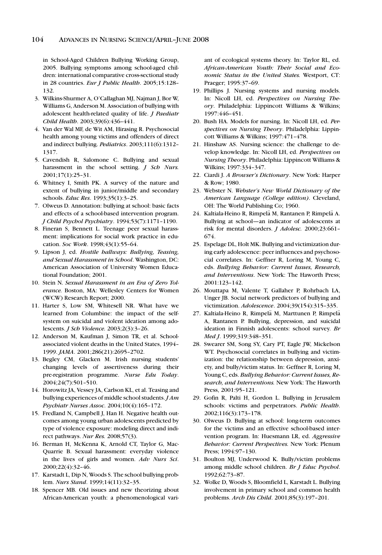in School-Aged Children Bullying Working Group, 2005. Bullying symptoms among school-aged children: international comparative cross-sectional study in 28 countries. *Eur J Public Health*. 2005;15:128– 132.

- 3. Wilkins-Shurmer A, O'Callaghan MJ, Najman J, Bor W, Williams G, Anderson M. Association of bullying with adolescent health-related quality of life. *J Paediatr Child Health*. 2003;39(6):436–441.
- 4. Van der Wal MF, de Wit AM, Hirasing R. Psychosocial health among young victims and offenders of direct and indirect bullying. *Pediatrics*. 2003;111(6):1312– 1317.
- 5. Cavendish R, Salomone C. Bullying and sexual harassment in the school setting. *J Sch Nurs.* 2001;17(1):25–31.
- 6. Whitney I, Smith PK. A survey of the nature and extent of bullying in junior/middle and secondary schools. *Educ Res*. 1993;35(1):3–25.
- 7. Olweus D. Annotation: bullying at school: basic facts and effects of a school-based intervention program. *J Child Psychol Psychiatry*. 1994;53(7):1171–1190.
- 8. Fineran S, Bennett L. Teenage peer sexual harassment: implications for social work practice in education. *Soc Work*. 1998;43(1):55–64.
- 9. Lipson J, ed. *Hostile hallways: Bullying, Teasing, and Sexual Harassment in School*. Washington, DC: American Association of University Women Educational Foundation; 2001.
- 10. Stein N. *Sexual Harassment in an Era of Zero Tolerance.* Boston, MA: Wellesley Centers for Women (WCW) Research Report; 2000.
- 11. Harter S, Low SM, Whitesell NR. What have we learned from Columbine: the impact of the selfsystem on suicidal and violent ideation among adolescents. *J Sch Violence.* 2003;2(3):3–26.
- 12. Anderson M, Kaufman J, Simon TR, et al. Schoolassociated violent deaths in the United States, 1994– 1999. *JAMA*. 2001;286(21):2695–2702.
- 13. Begley CM, Glacken M. Irish nursing students' changing levels of assertiveness during their pre-registration programme. *Nurse Edu Today*. 2004;24(7):501–510.
- 14. Horowitz JA, Vessey JA, Carlson KL, et al. Teasing and bullying experiences of middle school students. *J Am Psychiatr Nurses Assoc*. 2004;10(4):165–172.
- 15. Fredland N, Campbell J, Han H. Negative health outcomes among young urban adolescents predicted by type of violence exposure: modeling direct and indirect pathways. *Nur Res.* 2008;57(3).
- 16. Berman H, McKenna K, Arnold CT, Taylor G, Mac-Quarrie B. Sexual harassment: everyday violence in the lives of girls and women. *Adv Nurs Sci*. 2000;22(4):32–46.
- 17. Karstadt L, Dip N, Woods S. The school bullying problem. *Nurs Stand*. 1999;14(11):32–35.
- 18. Spencer MB. Old issues and new theorizing about African-American youth: a phenomenological vari-

ant of ecological systems theory. In: Taylor RL, ed. *African-American Youth: Their Social and Economic Status in the United States.* Westport, CT: Praeger; 1995:37–69.

- 19. Phillips J. Nursing systems and nursing models. In: Nicoll LH, ed. *Perspectives on Nursing Theory*. Philadelphia: Lippincott Williams & Wilkins; 1997:446–451.
- 20. Bush HA. Models for nursing. In: Nicoll LH, ed. *Perspectives on Nursing Theory*. Philadelphia: Lippincott Williams & Wilkins; 1997:471–478.
- 21. Hinshaw AS. Nursing science: the challenge to develop knowledge. In: Nicoll LH, ed. *Perspectives on Nursing Theory*. Philadelphia: Lippincott Williams & Wilkins; 1997:334–347.
- 22. Ciardi J. *A Browser's Dictionary*. New York: Harper & Row; 1980.
- 23. Webster N. *Webster's New World Dictionary of the American Language (College edition)*. Cleveland, OH: The World Publishing Co; 1960.
- 24. Kaltiala-Heino R, Rimpelä M, Rantanen P, Rimpelä A. Bullying at school—an indicator of adolescents at risk for mental disorders. *J Adolesc.* 2000;23:661– 674.
- 25. Espelage DL, Holt MK. Bullying and victimization during early adolescence: peer influences and psychosocial correlates. In: Geffner R, Loring M, Young C, eds. *Bullying Behavior: Current Issues, Research, and Interventions*. New York: The Haworth Press; 2001:123–142.
- 26. Mouttapa M, Valente T, Gallaher P, Rohrbach LA, Unger JB. Social network predictors of bullying and victimization. *Adolescence*. 2004;39(154):315–335.
- 27. Kaltiala-Heino R, Rimpelä M, Marttunen P, Rimpelä A, Rantanen P. Bullying, depression, and suicidal ideation in Finnish adolescents: school survey. *Br Med J*. 1999;319:348–351.
- 28. Swearer SM, Song SY, Cary PT, Eagle JW, Mickelson WT. Psychosocial correlates in bullying and victimization: the relationship between depression, anxiety, and bully/victim status. In: Geffner R, Loring M, Young C, eds. *Bullying Behavior: Current Issues, Research, and Interventions.* New York: The Haworth Press, 2001:95–121.
- 29. Gofin R, Palti H, Gordon L. Bullying in Jerusalem schools: victims and perpetrators. *Public Health*. 2002;116(3):173–178.
- 30. Olweus D. Bullying at school: long-term outcomes for the victims and an effective school-based intervention program. In: Huesmann LR, ed. *Aggressive Behavior: Current Perspectives.* New York: Plenum Press; 1994:97–130.
- 31. Boulton MJ, Underwood K. Bully/victim problems among middle school children. *Br J Educ Psychol*. 1992;62:73–87.
- 32. Wolke D, Woods S, Bloomfield L, Karstadt L. Bullying involvement in primary school and common health problems. *Arch Dis Child*. 2001;85(3):197–201.